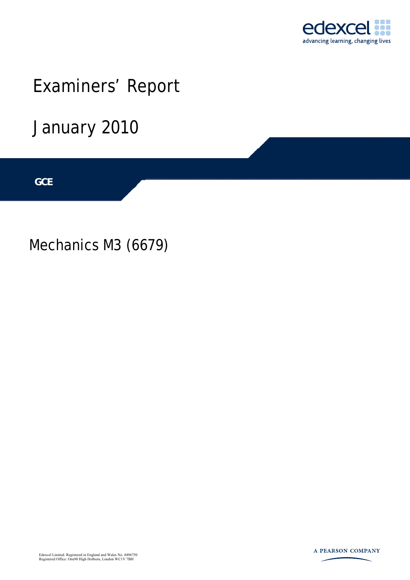

# Examiners' Report

January 2010

**IGCSE GCE** 

Mechanics M3 (6679)



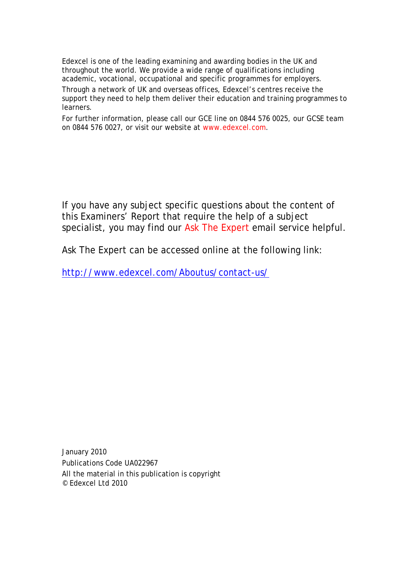Edexcel is one of the leading examining and awarding bodies in the UK and throughout the world. We provide a wide range of qualifications including academic, vocational, occupational and specific programmes for employers.

Through a network of UK and overseas offices, Edexcel's centres receive the support they need to help them deliver their education and training programmes to learners.

For further information, please call our GCE line on 0844 576 0025, our GCSE team on 0844 576 0027, or visit our website at www.edexcel.com.

If you have any subject specific questions about the content of this Examiners' Report that require the help of a subject specialist, you may find our Ask The Expert email service helpful.

Ask The Expert can be accessed online at the following link:

http://www.edexcel.com/Aboutus/contact-us/

January 2010 Publications Code UA022967 All the material in this publication is copyright © Edexcel Ltd 2010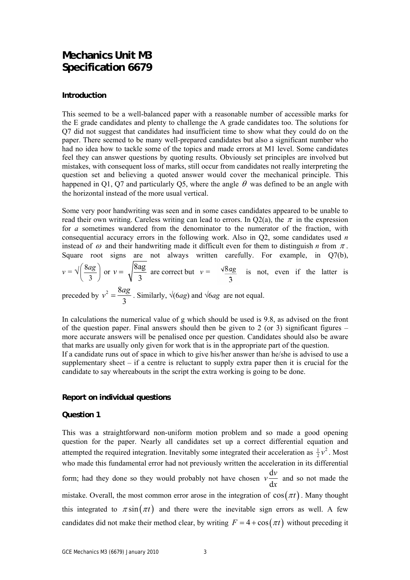### **Mechanics Unit M3 Specification 6679**

#### **Introduction**

This seemed to be a well-balanced paper with a reasonable number of accessible marks for the E grade candidates and plenty to challenge the A grade candidates too. The solutions for Q7 did not suggest that candidates had insufficient time to show what they could do on the paper. There seemed to be many well-prepared candidates but also a significant number who had no idea how to tackle some of the topics and made errors at M1 level. Some candidates feel they can answer questions by quoting results. Obviously set principles are involved but mistakes, with consequent loss of marks, still occur from candidates not really interpreting the question set and believing a quoted answer would cover the mechanical principle. This happened in Q1, Q7 and particularly Q5, where the angle  $\theta$  was defined to be an angle with the horizontal instead of the more usual vertical.

Some very poor handwriting was seen and in some cases candidates appeared to be unable to read their own writing. Careless writing can lead to errors. In Q2(a), the  $\pi$  in the expression for *a* sometimes wandered from the denominator to the numerator of the fraction, with consequential accuracy errors in the following work. Also in Q2, some candidates used *n* instead of  $\omega$  and their handwriting made it difficult even for them to distinguish *n* from  $\pi$ . Square root signs are not always written carefully. For example, in Q7(b),  $v = \sqrt{\frac{6ag}{2}}$ ⎠  $\frac{8ag}{2}$ ⎝  $\big($ 3  $\left(\frac{8ag}{2}\right)$  or  $v = \sqrt{\frac{8ag}{2}}$ 3  $v = \sqrt{\frac{\log n}{n}}$  are correct but  $v = \sqrt{8ag}$  is not, even if the latter is preceded by  $v^2 = \frac{8}{3}$ 3  $v^2 = \frac{8ag}{a}$ . Similarly, √(6*ag*) and √6*ag* are not equal.

In calculations the numerical value of g which should be used is 9.8, as advised on the front of the question paper. Final answers should then be given to 2 (or 3) significant figures – more accurate answers will be penalised once per question. Candidates should also be aware that marks are usually only given for work that is in the appropriate part of the question. If a candidate runs out of space in which to give his/her answer than he/she is advised to use a supplementary sheet – if a centre is reluctant to supply extra paper then it is crucial for the candidate to say whereabouts in the script the extra working is going to be done.

#### **Report on individual questions**

#### **Question 1**

This was a straightforward non-uniform motion problem and so made a good opening question for the paper. Nearly all candidates set up a correct differential equation and attempted the required integration. Inevitably some integrated their acceleration as  $\frac{1}{2}v^2$ . Most who made this fundamental error had not previously written the acceleration in its differential form; had they done so they would probably not have chosen  $v\frac{d}{dx}$ d  $v \frac{dv}{dt}$ *x* and so not made the mistake. Overall, the most common error arose in the integration of  $\cos(\pi t)$ . Many thought this integrated to  $\pi \sin(\pi t)$  and there were the inevitable sign errors as well. A few candidates did not make their method clear, by writing  $F = 4 + \cos(\pi t)$  without preceding it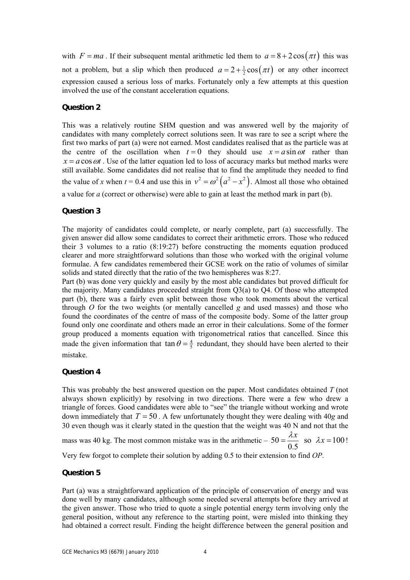with  $F = ma$ . If their subsequent mental arithmetic led them to  $a = 8 + 2\cos(\pi t)$  this was not a problem, but a slip which then produced  $a = 2 + \frac{1}{2} \cos(\pi t)$  or any other incorrect expression caused a serious loss of marks. Fortunately only a few attempts at this question involved the use of the constant acceleration equations.

#### **Question 2**

This was a relatively routine SHM question and was answered well by the majority of candidates with many completely correct solutions seen. It was rare to see a script where the first two marks of part (a) were not earned. Most candidates realised that as the particle was at the centre of the oscillation when  $t = 0$  they should use  $x = a \sin \omega t$  rather than  $x = a \cos \omega t$ . Use of the latter equation led to loss of accuracy marks but method marks were still available. Some candidates did not realise that to find the amplitude they needed to find the value of *x* when  $t = 0.4$  and use this in  $v^2 = \omega^2 (a^2 - x^2)$ . Almost all those who obtained a value for *a* (correct or otherwise) were able to gain at least the method mark in part (b).

#### **Question 3**

The majority of candidates could complete, or nearly complete, part (a) successfully. The given answer did allow some candidates to correct their arithmetic errors. Those who reduced their 3 volumes to a ratio (8:19:27) before constructing the moments equation produced clearer and more straightforward solutions than those who worked with the original volume formulae. A few candidates remembered their GCSE work on the ratio of volumes of similar solids and stated directly that the ratio of the two hemispheres was 8:27.

Part (b) was done very quickly and easily by the most able candidates but proved difficult for the majority. Many candidates proceeded straight from Q3(a) to Q4. Of those who attempted part (b), there was a fairly even split between those who took moments about the vertical through *O* for the two weights (or mentally cancelled *g* and used masses) and those who found the coordinates of the centre of mass of the composite body. Some of the latter group found only one coordinate and others made an error in their calculations. Some of the former group produced a moments equation with trigonometrical ratios that cancelled. Since this made the given information that  $\tan \theta = \frac{4}{5}$  redundant, they should have been alerted to their mistake.

#### **Question 4**

This was probably the best answered question on the paper. Most candidates obtained *T* (not always shown explicitly) by resolving in two directions. There were a few who drew a triangle of forces. Good candidates were able to "see" the triangle without working and wrote down immediately that  $T = 50$ . A few unfortunately thought they were dealing with 40*g* and 30 even though was it clearly stated in the question that the weight was 40 N and not that the

mass was 40 kg. The most common mistake was in the arithmetic –  $50 = \frac{2\pi}{\sigma^2}$  so  $\lambda x = 100$ 0.5  $=\frac{\lambda x}{\lambda}$  so  $\lambda x = 100!$ 

Very few forgot to complete their solution by adding 0.5 to their extension to find *OP*.

#### **Question 5**

Part (a) was a straightforward application of the principle of conservation of energy and was done well by many candidates, although some needed several attempts before they arrived at the given answer. Those who tried to quote a single potential energy term involving only the general position, without any reference to the starting point, were misled into thinking they had obtained a correct result. Finding the height difference between the general position and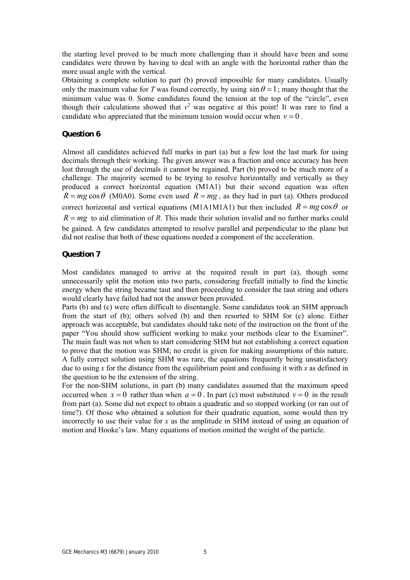the starting level proved to be much more challenging than it should have been and some candidates were thrown by having to deal with an angle with the horizontal rather than the more usual angle with the vertical.

Obtaining a complete solution to part (b) proved impossible for many candidates. Usually only the maximum value for *T* was found correctly, by using  $\sin \theta = 1$ ; many thought that the minimum value was 0. Some candidates found the tension at the top of the "circle", even though their calculations showed that  $v^2$  was negative at this point! It was rare to find a candidate who appreciated that the minimum tension would occur when  $v = 0$ .

#### **Question 6**

Almost all candidates achieved full marks in part (a) but a few lost the last mark for using decimals through their working. The given answer was a fraction and once accuracy has been lost through the use of decimals it cannot be regained. Part (b) proved to be much more of a challenge. The majority seemed to be trying to resolve horizontally and vertically as they produced a correct horizontal equation (M1A1) but their second equation was often  $R = mg \cos\theta$  (M0A0). Some even used  $R = mg$ , as they had in part (a). Others produced correct horizontal and vertical equations (M1A1M1A1) but then included  $R = mg \cos \theta$  or  $R = mg$  to aid elimination of *R*. This made their solution invalid and no further marks could be gained. A few candidates attempted to resolve parallel and perpendicular to the plane but did not realise that both of these equations needed a component of the acceleration.

#### **Question 7**

Most candidates managed to arrive at the required result in part (a), though some unnecessarily split the motion into two parts, considering freefall initially to find the kinetic energy when the string became taut and then proceeding to consider the taut string and others would clearly have failed had not the answer been provided.

Parts (b) and (c) were often difficult to disentangle. Some candidates took an SHM approach from the start of (b); others solved (b) and then resorted to SHM for (c) alone. Either approach was acceptable, but candidates should take note of the instruction on the front of the paper "You should show sufficient working to make your methods clear to the Examiner". The main fault was not when to start considering SHM but not establishing a correct equation to prove that the motion was SHM; no credit is given for making assumptions of this nature. A fully correct solution using SHM was rare, the equations frequently being unsatisfactory due to using  $x$  for the distance from the equilibrium point and confusing it with  $x$  as defined in the question to be the extension of the string.

For the non-SHM solutions, in part (b) many candidates assumed that the maximum speed occurred when  $x = 0$  rather than when  $a = 0$ . In part (c) most substituted  $v = 0$  in the result from part (a). Some did not expect to obtain a quadratic and so stopped working (or ran out of time?). Of those who obtained a solution for their quadratic equation, some would then try incorrectly to use their value for *x* as the amplitude in SHM instead of using an equation of motion and Hooke's law. Many equations of motion omitted the weight of the particle.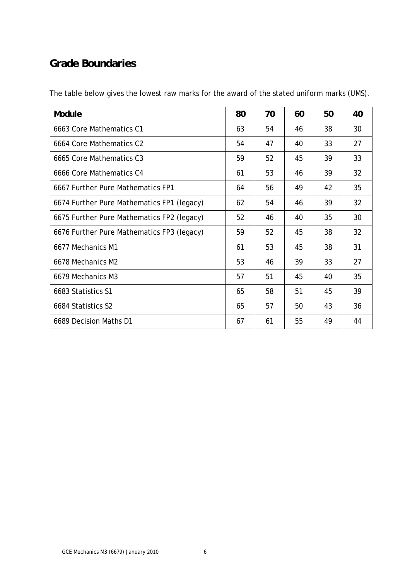## **Grade Boundaries**

The table below gives the lowest raw marks for the award of the stated uniform marks (UMS).

| Module                                     | 80 | 70 | 60 | 50 | 40 |
|--------------------------------------------|----|----|----|----|----|
| 6663 Core Mathematics C1                   | 63 | 54 | 46 | 38 | 30 |
| 6664 Core Mathematics C2                   | 54 | 47 | 40 | 33 | 27 |
| 6665 Core Mathematics C3                   | 59 | 52 | 45 | 39 | 33 |
| 6666 Core Mathematics C4                   | 61 | 53 | 46 | 39 | 32 |
| 6667 Further Pure Mathematics FP1          | 64 | 56 | 49 | 42 | 35 |
| 6674 Further Pure Mathematics FP1 (legacy) | 62 | 54 | 46 | 39 | 32 |
| 6675 Further Pure Mathematics FP2 (legacy) | 52 | 46 | 40 | 35 | 30 |
| 6676 Further Pure Mathematics FP3 (legacy) | 59 | 52 | 45 | 38 | 32 |
| 6677 Mechanics M1                          | 61 | 53 | 45 | 38 | 31 |
| 6678 Mechanics M2                          | 53 | 46 | 39 | 33 | 27 |
| 6679 Mechanics M3                          | 57 | 51 | 45 | 40 | 35 |
| 6683 Statistics S1                         | 65 | 58 | 51 | 45 | 39 |
| 6684 Statistics S2                         | 65 | 57 | 50 | 43 | 36 |
| 6689 Decision Maths D1                     | 67 | 61 | 55 | 49 | 44 |